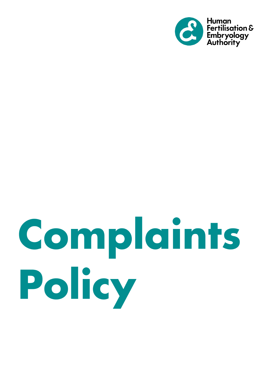

# Complaints Policy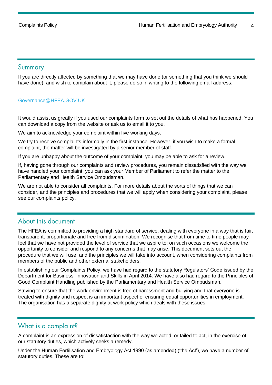#### <span id="page-3-0"></span>Summary

If you are directly affected by something that we may have done (or something that you think we should have done), and wish to complain about it, please do so in writing to the following email address:

#### [Governance@HFEA.GOV.UK](mailto:Governance@HFEA.GOV.UK)

It would assist us greatly if you used our complaints form to set out the details of what has happened. You can download a copy from the website or ask us to email it to you.

We aim to acknowledge your complaint within five working days.

We try to resolve complaints informally in the first instance. However, if you wish to make a formal complaint, the matter will be investigated by a senior member of staff.

If you are unhappy about the outcome of your complaint, you may be able to ask for a review.

If, having gone through our complaints and review procedures, you remain dissatisfied with the way we have handled your complaint, you can ask your Member of Parliament to refer the matter to the Parliamentary and Health Service Ombudsman.

We are not able to consider all complaints. For more details about the sorts of things that we can consider, and the principles and procedures that we will apply when considering your complaint, please see our complaints policy.

## <span id="page-3-1"></span>About this document

The HFEA is committed to providing a high standard of service, dealing with everyone in a way that is fair, transparent, proportionate and free from discrimination. We recognise that from time to time people may feel that we have not provided the level of service that we aspire to; on such occasions we welcome the opportunity to consider and respond to any concerns that may arise. This document sets out the procedure that we will use, and the principles we will take into account, when considering complaints from members of the public and other external stakeholders.

In establishing our Complaints Policy, we have had regard to the statutory Regulators' Code issued by the Department for Business, Innovation and Skills in April 2014. We have also had regard to the Principles of Good Complaint Handling published by the Parliamentary and Health Service Ombudsman.

Striving to ensure that the work environment is free of harassment and bullying and that everyone is treated with dignity and respect is an important aspect of ensuring equal opportunities in employment. The organisation has a separate dignity at work policy which deals with these issues.

#### <span id="page-3-2"></span>What is a complaint?

A complaint is an expression of dissatisfaction with the way we acted, or failed to act, in the exercise of our statutory duties, which actively seeks a remedy.

Under the Human Fertilisation and Embryology Act 1990 (as amended) ('the Act'), we have a number of statutory duties. These are to: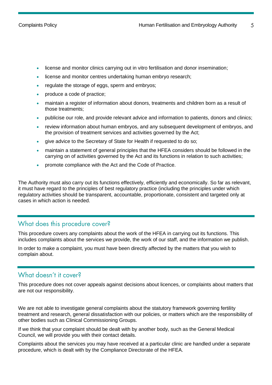- license and monitor clinics carrying out in vitro fertilisation and donor insemination;
- license and monitor centres undertaking human embryo research;
- regulate the storage of eggs, sperm and embryos;
- produce a code of practice;
- maintain a register of information about donors, treatments and children born as a result of those treatments;
- publicise our role, and provide relevant advice and information to patients, donors and clinics;
- review information about human embryos, and any subsequent development of embryos, and the provision of treatment services and activities governed by the Act;
- give advice to the Secretary of State for Health if requested to do so;
- maintain a statement of general principles that the HFEA considers should be followed in the carrying on of activities governed by the Act and its functions in relation to such activities;
- promote compliance with the Act and the Code of Practice.

The Authority must also carry out its functions effectively, efficiently and economically. So far as relevant, it must have regard to the principles of best regulatory practice (including the principles under which regulatory activities should be transparent, accountable, proportionate, consistent and targeted only at cases in which action is needed.

## <span id="page-4-0"></span>What does this procedure cover?

This procedure covers any complaints about the work of the HFEA in carrying out its functions. This includes complaints about the services we provide, the work of our staff, and the information we publish.

In order to make a complaint, you must have been directly affected by the matters that you wish to complain about.

## <span id="page-4-1"></span>What doesn't it cover?

This procedure does not cover appeals against decisions about licences, or complaints about matters that are not our responsibility.

We are not able to investigate general complaints about the statutory framework governing fertility treatment and research, general dissatisfaction with our policies, or matters which are the responsibility of other bodies such as Clinical Commissioning Groups.

If we think that your complaint should be dealt with by another body, such as the General Medical Council, we will provide you with their contact details.

Complaints about the services you may have received at a particular clinic are handled under a separate procedure, which is dealt with by the Compliance Directorate of the HFEA.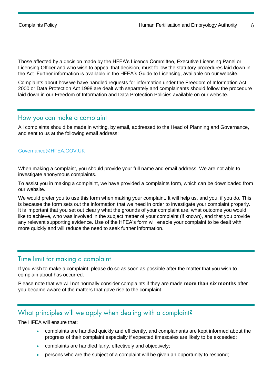Those affected by a decision made by the HFEA's Licence Committee, Executive Licensing Panel or Licensing Officer and who wish to appeal that decision, must follow the statutory procedures laid down in the Act. Further information is available in the HFEA's Guide to Licensing, available on our website.

Complaints about how we have handled requests for information under the Freedom of Information Act 2000 or Data Protection Act 1998 are dealt with separately and complainants should follow the procedure laid down in our Freedom of Information and Data Protection Policies available on our website.

#### <span id="page-5-0"></span>How you can make a complaint

All complaints should be made in writing, by email, addressed to the Head of Planning and Governance, and sent to us at the following email address:

#### [Governance@HFEA.GOV.UK](mailto:Governance@HFEA.GOV.UK)

When making a complaint, you should provide your full name and email address. We are not able to investigate anonymous complaints.

To assist you in making a complaint, we have provided a complaints form, which can be downloaded from our website.

We would prefer you to use this form when making your complaint. It will help us, and you, if you do. This is because the form sets out the information that we need in order to investigate your complaint properly. It is important that you set out clearly what the grounds of your complaint are, what outcome you would like to achieve, who was involved in the subject matter of your complaint (if known), and that you provide any relevant supporting evidence. Use of the HFEA's form will enable your complaint to be dealt with more quickly and will reduce the need to seek further information.

#### <span id="page-5-1"></span>Time limit for making a complaint

If you wish to make a complaint, please do so as soon as possible after the matter that you wish to complain about has occurred.

Please note that we will not normally consider complaints if they are made **more than six months** after you became aware of the matters that gave rise to the complaint.

#### <span id="page-5-2"></span>What principles will we apply when dealing with a complaint?

The HFEA will ensure that:

- complaints are handled quickly and efficiently, and complainants are kept informed about the progress of their complaint especially if expected timescales are likely to be exceeded;
- complaints are handled fairly, effectively and objectively;
- persons who are the subject of a complaint will be given an opportunity to respond;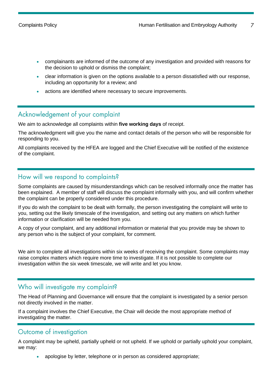$\overline{7}$ 

- complainants are informed of the outcome of any investigation and provided with reasons for the decision to uphold or dismiss the complaint;
- clear information is given on the options available to a person dissatisfied with our response, including an opportunity for a review; and
- actions are identified where necessary to secure improvements.

## <span id="page-6-0"></span>Acknowledgement of your complaint

We aim to acknowledge all complaints within **five working days** of receipt.

The acknowledgment will give you the name and contact details of the person who will be responsible for responding to you.

All complaints received by the HFEA are logged and the Chief Executive will be notified of the existence of the complaint.

#### <span id="page-6-1"></span>How will we respond to complaints?

Some complaints are caused by misunderstandings which can be resolved informally once the matter has been explained. A member of staff will discuss the complaint informally with you, and will confirm whether the complaint can be properly considered under this procedure.

If you do wish the complaint to be dealt with formally, the person investigating the complaint will write to you, setting out the likely timescale of the investigation, and setting out any matters on which further information or clarification will be needed from you.

A copy of your complaint, and any additional information or material that you provide may be shown to any person who is the subject of your complaint, for comment.

We aim to complete all investigations within six weeks of receiving the complaint. Some complaints may raise complex matters which require more time to investigate. If it is not possible to complete our investigation within the six week timescale, we will write and let you know.

#### <span id="page-6-2"></span>Who will investigate my complaint?

The Head of Planning and Governance will ensure that the complaint is investigated by a senior person not directly involved in the matter.

If a complaint involves the Chief Executive, the Chair will decide the most appropriate method of investigating the matter.

#### <span id="page-6-3"></span>Outcome of investigation

A complaint may be upheld, partially upheld or not upheld. If we uphold or partially uphold your complaint, we may:

• apologise by letter, telephone or in person as considered appropriate;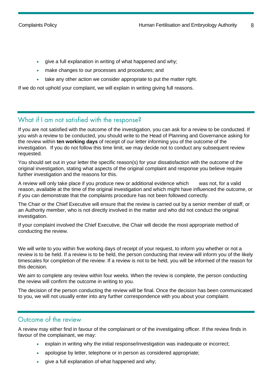- give a full explanation in writing of what happened and why;
- make changes to our processes and procedures; and
- take any other action we consider appropriate to put the matter right.

If we do not uphold your complaint, we will explain in writing giving full reasons.

# <span id="page-7-0"></span>What if I am not satisfied with the response?

If you are not satisfied with the outcome of the investigation, you can ask for a review to be conducted. If you wish a review to be conducted, you should write to the Head of Planning and Governance asking for the review within **ten working days** of receipt of our letter informing you of the outcome of the investigation. If you do not follow this time limit, we may decide not to conduct any subsequent review requested.

You should set out in your letter the specific reason(s) for your dissatisfaction with the outcome of the original investigation, stating what aspects of the original complaint and response you believe require further investigation and the reasons for this.

A review will only take place if you produce new or additional evidence which was not, for a valid reason, available at the time of the original investigation and which might have influenced the outcome, or if you can demonstrate that the complaints procedure has not been followed correctly.

The Chair or the Chief Executive will ensure that the review is carried out by a senior member of staff, or an Authority member, who is not directly involved in the matter and who did not conduct the original investigation.

If your complaint involved the Chief Executive, the Chair will decide the most appropriate method of conducting the review.

We will write to you within five working days of receipt of your request, to inform you whether or not a review is to be held. If a review is to be held, the person conducting that review will inform you of the likely timescales for completion of the review. If a review is not to be held, you will be informed of the reason for this decision.

We aim to complete any review within four weeks. When the review is complete, the person conducting the review will confirm the outcome in writing to you.

The decision of the person conducting the review will be final. Once the decision has been communicated to you, we will not usually enter into any further correspondence with you about your complaint.

#### <span id="page-7-1"></span>Outcome of the review

A review may either find in favour of the complainant or of the investigating officer. If the review finds in favour of the complainant, we may:

- explain in writing why the initial response/investigation was inadequate or incorrect;
- apologise by letter, telephone or in person as considered appropriate;
- give a full explanation of what happened and why;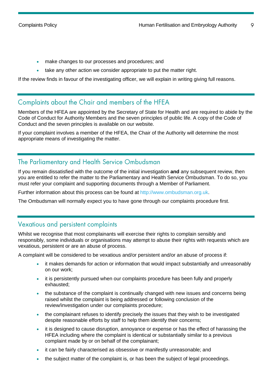$\circ$ 

- make changes to our processes and procedures; and
- take any other action we consider appropriate to put the matter right.

If the review finds in favour of the investigating officer, we will explain in writing giving full reasons.

## <span id="page-8-0"></span>Complaints about the Chair and members of the HFEA

Members of the HFEA are appointed by the Secretary of State for Health and are required to abide by the Code of Conduct for Authority Members and the seven principles of public life. A copy of the Code of Conduct and the seven principles is available on our website.

If your complaint involves a member of the HFEA, the Chair of the Authority will determine the most appropriate means of investigating the matter.

## <span id="page-8-1"></span>The Parliamentary and Health Service Ombudsman

If you remain dissatisfied with the outcome of the initial investigation **and** any subsequent review, then you are entitled to refer the matter to the Parliamentary and Health Service Ombudsman. To do so, you must refer your complaint and supporting documents through a Member of Parliament.

Further information about this process can be found at [http://www.ombudsman.org.uk.](http://www.ombudsman.org.uk/)

The Ombudsman will normally expect you to have gone through our complaints procedure first.

## <span id="page-8-2"></span>Vexatious and persistent complaints

Whilst we recognise that most complainants will exercise their rights to complain sensibly and responsibly, some individuals or organisations may attempt to abuse their rights with requests which are vexatious, persistent or are an abuse of process.

A complaint will be considered to be vexatious and/or persistent and/or an abuse of process if:

- it makes demands for action or information that would impact substantially and unreasonably on our work;
- it is persistently pursued when our complaints procedure has been fully and properly exhausted;
- the substance of the complaint is continually changed with new issues and concerns being raised whilst the complaint is being addressed or following conclusion of the review/investigation under our complaints procedure;
- the complainant refuses to identify precisely the issues that they wish to be investigated despite reasonable efforts by staff to help them identify their concerns;
- it is designed to cause disruption, annoyance or expense or has the effect of harassing the HFEA including where the complaint is identical or substantially similar to a previous complaint made by or on behalf of the complainant;
- it can be fairly characterised as obsessive or manifestly unreasonable; and
- the subject matter of the complaint is, or has been the subject of legal proceedings.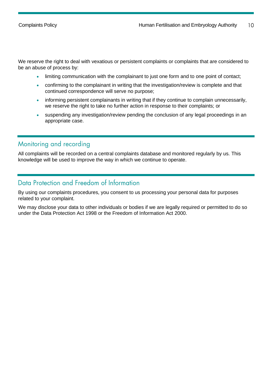We reserve the right to deal with vexatious or persistent complaints or complaints that are considered to be an abuse of process by:

- limiting communication with the complainant to just one form and to one point of contact;
- confirming to the complainant in writing that the investigation/review is complete and that continued correspondence will serve no purpose;
- informing persistent complainants in writing that if they continue to complain unnecessarily, we reserve the right to take no further action in response to their complaints; or
- suspending any investigation/review pending the conclusion of any legal proceedings in an appropriate case.

## <span id="page-9-0"></span>Monitoring and recording

All complaints will be recorded on a central complaints database and monitored regularly by us. This knowledge will be used to improve the way in which we continue to operate.

## <span id="page-9-1"></span>Data Protection and Freedom of Information

By using our complaints procedures, you consent to us processing your personal data for purposes related to your complaint.

We may disclose your data to other individuals or bodies if we are legally required or permitted to do so under the Data Protection Act 1998 or the Freedom of Information Act 2000.